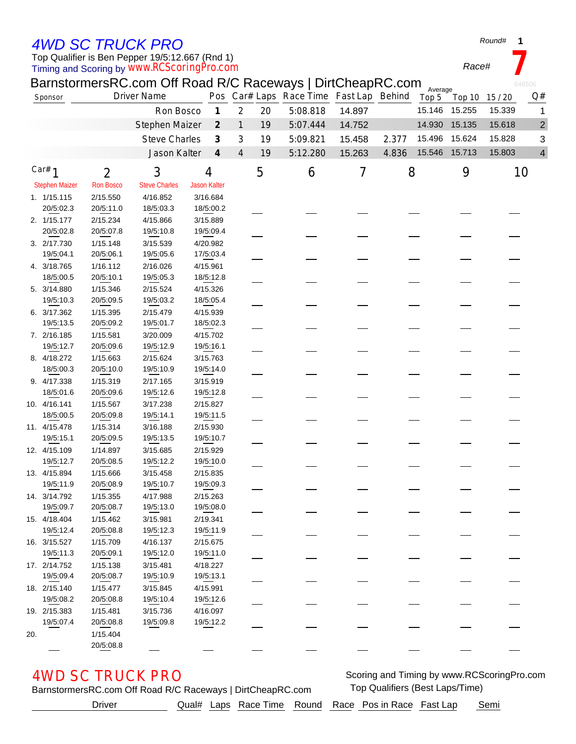## *4WD SC TRUCK PRO*

Timing and Scoring by *www.RCScoringPro.com* Top Qualifier is Ben Pepper 19/5:12.667 (Rnd 1)

*Round#* **1**

*Race#* **7**

|     |                           |                       | BarnstormersRC.com Off Road R/C Raceways   DirtCheapRC.com |                       |                             |                |    |                                         |        |       | Average       |        |        | 646506         |
|-----|---------------------------|-----------------------|------------------------------------------------------------|-----------------------|-----------------------------|----------------|----|-----------------------------------------|--------|-------|---------------|--------|--------|----------------|
|     | Sponsor                   |                       | <b>Driver Name</b>                                         |                       |                             |                |    | Pos Car# Laps Race Time Fast Lap Behind |        |       | Top 5         | Top 10 | 15/20  | Q#             |
|     |                           |                       | Ron Bosco                                                  |                       | $\boldsymbol{\mathcal{I}}$  | $\overline{2}$ | 20 | 5:08.818                                | 14.897 |       | 15.146        | 15.255 | 15.339 | $\mathbf 1$    |
|     |                           |                       | Stephen Maizer                                             |                       | $\mathcal{Z}_{\mathcal{C}}$ | $\mathbf{1}$   | 19 | 5:07.444                                | 14.752 |       | 14.930        | 15.135 | 15.618 | $\overline{2}$ |
|     |                           |                       | <b>Steve Charles</b>                                       |                       | $\boldsymbol{\beta}$        | 3              | 19 | 5:09.821                                | 15.458 | 2.377 | 15.496        | 15.624 | 15.828 | 3              |
|     |                           |                       | Jason Kalter                                               |                       | $\boldsymbol{4}$            | 4              | 19 | 5:12.280                                | 15.263 | 4.836 | 15.546 15.713 |        | 15.803 | $\overline{4}$ |
|     |                           |                       |                                                            |                       |                             |                |    |                                         |        |       |               |        |        |                |
|     | Car# $1$                  | $\overline{2}$        | 3                                                          | 4                     |                             |                | 5  | 6                                       | 7      | 8     |               | 9      |        | 10             |
|     | <b>Stephen Maizer</b>     | <b>Ron Bosco</b>      | <b>Steve Charles</b>                                       | <b>Jason Kalter</b>   |                             |                |    |                                         |        |       |               |        |        |                |
|     | 1. 1/15.115               | 2/15.550              | 4/16.852                                                   | 3/16.684              |                             |                |    |                                         |        |       |               |        |        |                |
|     | 20/5:02.3                 | 20/5:11.0             | 18/5:03.3                                                  |                       | 18/5:00.2                   |                |    |                                         |        |       |               |        |        |                |
|     | 2. 1/15.177               | 2/15.234              | 4/15.866                                                   | 3/15.889              |                             |                |    |                                         |        |       |               |        |        |                |
|     | 20/5:02.8                 | 20/5:07.8             | 19/5:10.8                                                  |                       | 19/5:09.4                   |                |    |                                         |        |       |               |        |        |                |
|     | 3. 2/17.730               | 1/15.148              | 3/15.539                                                   | 4/20.982              |                             |                |    |                                         |        |       |               |        |        |                |
|     | 19/5:04.1                 | 20/5:06.1             | 19/5:05.6                                                  |                       | 17/5:03.4                   |                |    |                                         |        |       |               |        |        |                |
|     | 4. 3/18.765               | 1/16.112              | 2/16.026                                                   | 4/15.961              |                             |                |    |                                         |        |       |               |        |        |                |
|     | 18/5:00.5                 | 20/5:10.1             | 19/5:05.3                                                  |                       | 18/5:12.8                   |                |    |                                         |        |       |               |        |        |                |
|     | 5. 3/14.880               | 1/15.346              | 2/15.524                                                   | 4/15.326              |                             |                |    |                                         |        |       |               |        |        |                |
|     | 19/5:10.3                 | 20/5:09.5             | 19/5:03.2                                                  | 18/5:05.4             |                             |                |    |                                         |        |       |               |        |        |                |
|     | 6. 3/17.362               | 1/15.395              | 2/15.479                                                   | 4/15.939              |                             |                |    |                                         |        |       |               |        |        |                |
|     | 19/5:13.5                 | 20/5:09.2             | 19/5:01.7                                                  |                       | 18/5:02.3                   |                |    |                                         |        |       |               |        |        |                |
|     | 7. 2/16.185               | 1/15.581              | 3/20.009                                                   | 4/15.702              |                             |                |    |                                         |        |       |               |        |        |                |
|     | 19/5:12.7                 | 20/5:09.6             | 19/5:12.9                                                  | 19/5:16.1             |                             |                |    |                                         |        |       |               |        |        |                |
|     | 8. 4/18.272               | 1/15.663              | 2/15.624                                                   | 3/15.763              |                             |                |    |                                         |        |       |               |        |        |                |
|     | 18/5:00.3                 | 20/5:10.0             | 19/5:10.9                                                  |                       | 19/5:14.0                   |                |    |                                         |        |       |               |        |        |                |
|     | 9. 4/17.338               | 1/15.319              | 2/17.165                                                   | 3/15.919              |                             |                |    |                                         |        |       |               |        |        |                |
|     | 18/5:01.6                 | 20/5:09.6             | 19/5:12.6                                                  |                       | 19/5:12.8                   |                |    |                                         |        |       |               |        |        |                |
|     | 10. 4/16.141<br>18/5:00.5 | 1/15.567<br>20/5:09.8 | 3/17.238<br>19/5:14.1                                      | 2/15.827              |                             |                |    |                                         |        |       |               |        |        |                |
|     |                           |                       |                                                            |                       | 19/5:11.5                   |                |    |                                         |        |       |               |        |        |                |
|     | 11. 4/15.478<br>19/5:15.1 | 1/15.314<br>20/5:09.5 | 3/16.188<br>19/5:13.5                                      | 2/15.930<br>19/5:10.7 |                             |                |    |                                         |        |       |               |        |        |                |
|     | 12. 4/15.109              | 1/14.897              | 3/15.685                                                   | 2/15.929              |                             |                |    |                                         |        |       |               |        |        |                |
|     | 19/5:12.7                 | 20/5:08.5             | 19/5:12.2                                                  | 19/5:10.0             |                             |                |    |                                         |        |       |               |        |        |                |
|     | 13. 4/15.894              | 1/15.666              | 3/15.458                                                   | 2/15.835              |                             |                |    |                                         |        |       |               |        |        |                |
|     | 19/5:11.9                 | 20/5:08.9             | 19/5:10.7                                                  | 19/5:09.3             |                             |                |    |                                         |        |       |               |        |        |                |
|     | 14. 3/14.792              | 1/15.355              | 4/17.988                                                   | 2/15.263              |                             |                |    |                                         |        |       |               |        |        |                |
|     | 19/5:09.7                 | 20/5:08.7             | 19/5:13.0                                                  | 19/5:08.0             |                             |                |    |                                         |        |       |               |        |        |                |
|     | 15. 4/18.404              | 1/15.462              | 3/15.981                                                   | 2/19.341              |                             |                |    |                                         |        |       |               |        |        |                |
|     | 19/5:12.4                 | 20/5:08.8             | 19/5:12.3                                                  |                       | 19/5:11.9                   |                |    |                                         |        |       |               |        |        |                |
|     | 16. 3/15.527              | 1/15.709              | 4/16.137                                                   | 2/15.675              |                             |                |    |                                         |        |       |               |        |        |                |
|     | 19/5:11.3                 | 20/5:09.1             | 19/5:12.0                                                  |                       | 19/5:11.0                   |                |    |                                         |        |       |               |        |        |                |
|     | 17. 2/14.752              | 1/15.138              | 3/15.481                                                   | 4/18.227              |                             |                |    |                                         |        |       |               |        |        |                |
|     | 19/5:09.4                 | 20/5:08.7             | 19/5:10.9                                                  | 19/5:13.1             |                             |                |    |                                         |        |       |               |        |        |                |
|     | 18. 2/15.140              | 1/15.477              | 3/15.845                                                   | 4/15.991              |                             |                |    |                                         |        |       |               |        |        |                |
|     | 19/5:08.2                 | 20/5:08.8             | 19/5:10.4                                                  |                       | 19/5:12.6                   |                |    |                                         |        |       |               |        |        |                |
|     | 19. 2/15.383              | 1/15.481              | 3/15.736                                                   | 4/16.097              |                             |                |    |                                         |        |       |               |        |        |                |
|     | 19/5:07.4                 | 20/5:08.8             | 19/5:09.8                                                  |                       | 19/5:12.2                   |                |    |                                         |        |       |               |        |        |                |
| 20. |                           | 1/15.404              |                                                            |                       |                             |                |    |                                         |        |       |               |        |        |                |
|     |                           | 20/5:08.8             |                                                            |                       |                             |                |    |                                         |        |       |               |        |        |                |

AWD SC TRUCK PRO **SCORE AND SCOTTER AND SCOTTER AND SCOTTER AND SCOTTER AND SCOTTER AND SCOTTER AND SCOTTER AND SCOTTER AND SCOTTER AND SCOTTER AND SCOTTER AND SCOTTER AND SCOTTER AND SCOTTER AND SCOTTER AND SCOTTER AND SC** 

BarnstormersRC.com Off Road R/C Raceways | DirtCheapRC.com Top Qualifiers (Best Laps/Time)

Driver **Qual# Laps Race Time Round Race Pos in Race Fast Lap** Semi